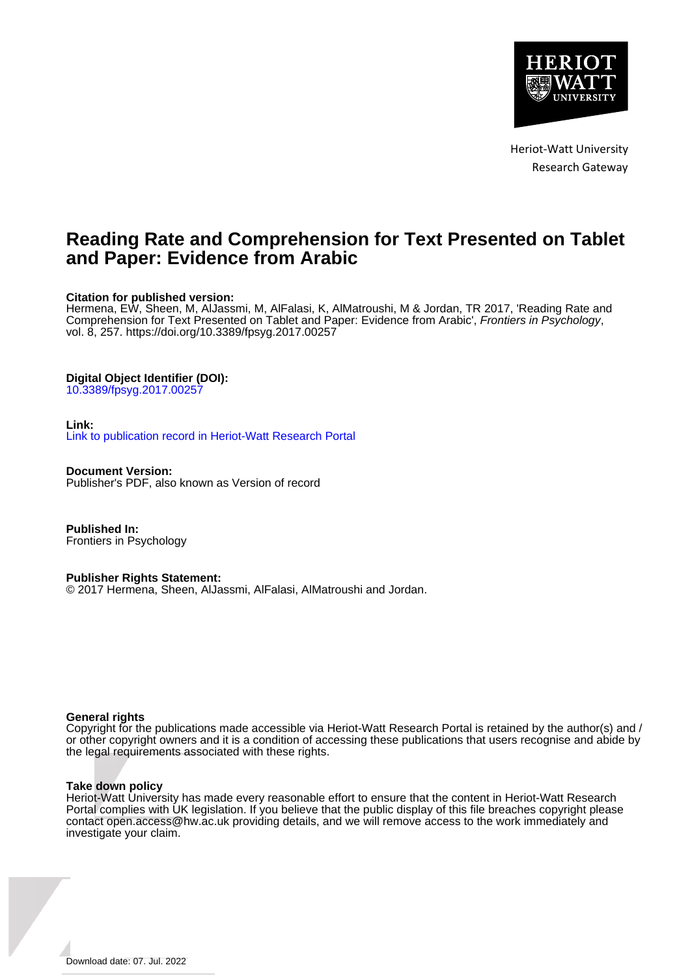

Heriot-Watt University Research Gateway

## **Reading Rate and Comprehension for Text Presented on Tablet and Paper: Evidence from Arabic**

#### **Citation for published version:**

Hermena, EW, Sheen, M, AlJassmi, M, AlFalasi, K, AlMatroushi, M & Jordan, TR 2017, 'Reading Rate and Comprehension for Text Presented on Tablet and Paper: Evidence from Arabic', Frontiers in Psychology, vol. 8, 257. <https://doi.org/10.3389/fpsyg.2017.00257>

#### **Digital Object Identifier (DOI):**

[10.3389/fpsyg.2017.00257](https://doi.org/10.3389/fpsyg.2017.00257)

#### **Link:**

[Link to publication record in Heriot-Watt Research Portal](https://researchportal.hw.ac.uk/en/publications/d813615d-8b68-4fcd-8edb-6ad41489cf65)

**Document Version:** Publisher's PDF, also known as Version of record

**Published In:** Frontiers in Psychology

#### **Publisher Rights Statement:**

© 2017 Hermena, Sheen, AlJassmi, AlFalasi, AlMatroushi and Jordan.

#### **General rights**

Copyright for the publications made accessible via Heriot-Watt Research Portal is retained by the author(s) and / or other copyright owners and it is a condition of accessing these publications that users recognise and abide by the legal requirements associated with these rights.

#### **Take down policy**

Heriot-Watt University has made every reasonable effort to ensure that the content in Heriot-Watt Research Portal complies with UK legislation. If you believe that the public display of this file breaches copyright please contact open.access@hw.ac.uk providing details, and we will remove access to the work immediately and investigate your claim.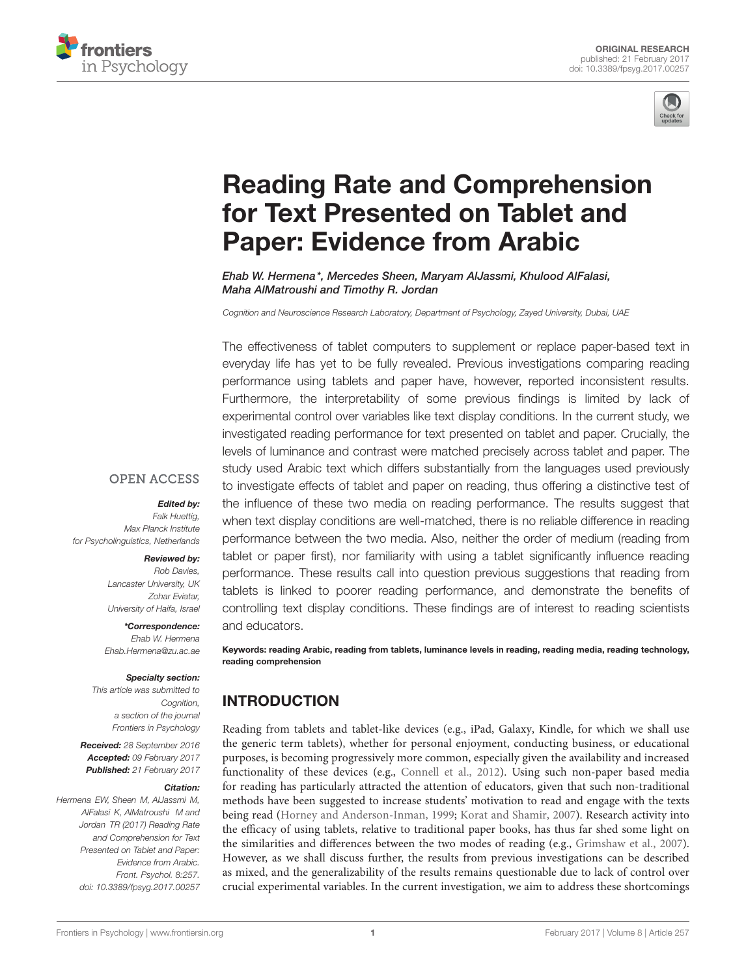



# [Reading Rate and Comprehension](http://journal.frontiersin.org/article/10.3389/fpsyg.2017.00257/abstract) for Text Presented on Tablet and Paper: Evidence from Arabic

[Ehab W. Hermena](http://loop.frontiersin.org/people/254179/overview)\*, [Mercedes Sheen,](http://loop.frontiersin.org/people/254228/overview) [Maryam AlJassmi,](http://loop.frontiersin.org/people/408393/overview) Khulood AlFalasi, Maha AlMatroushi and Timothy R. Jordan

Cognition and Neuroscience Research Laboratory, Department of Psychology, Zayed University, Dubai, UAE

The effectiveness of tablet computers to supplement or replace paper-based text in everyday life has yet to be fully revealed. Previous investigations comparing reading performance using tablets and paper have, however, reported inconsistent results. Furthermore, the interpretability of some previous findings is limited by lack of experimental control over variables like text display conditions. In the current study, we investigated reading performance for text presented on tablet and paper. Crucially, the levels of luminance and contrast were matched precisely across tablet and paper. The study used Arabic text which differs substantially from the languages used previously to investigate effects of tablet and paper on reading, thus offering a distinctive test of the influence of these two media on reading performance. The results suggest that when text display conditions are well-matched, there is no reliable difference in reading performance between the two media. Also, neither the order of medium (reading from tablet or paper first), nor familiarity with using a tablet significantly influence reading performance. These results call into question previous suggestions that reading from tablets is linked to poorer reading performance, and demonstrate the benefits of controlling text display conditions. These findings are of interest to reading scientists and educators.

Keywords: reading Arabic, reading from tablets, luminance levels in reading, reading media, reading technology, reading comprehension

## INTRODUCTION

Reading from tablets and tablet-like devices (e.g., iPad, Galaxy, Kindle, for which we shall use the generic term tablets), whether for personal enjoyment, conducting business, or educational purposes, is becoming progressively more common, especially given the availability and increased functionality of these devices (e.g., [Connell et al.,](#page-6-0) [2012\)](#page-6-0). Using such non-paper based media for reading has particularly attracted the attention of educators, given that such non-traditional methods have been suggested to increase students' motivation to read and engage with the texts being read [\(Horney and Anderson-Inman,](#page-6-1) [1999;](#page-6-1) [Korat and Shamir,](#page-6-2) [2007\)](#page-6-2). Research activity into the efficacy of using tablets, relative to traditional paper books, has thus far shed some light on the similarities and differences between the two modes of reading (e.g., [Grimshaw et al.,](#page-6-3) [2007\)](#page-6-3). However, as we shall discuss further, the results from previous investigations can be described as mixed, and the generalizability of the results remains questionable due to lack of control over crucial experimental variables. In the current investigation, we aim to address these shortcomings

#### **OPEN ACCESS**

#### Edited by:

Falk Huettig, Max Planck Institute for Psycholinguistics, Netherlands

#### Reviewed by:

Rob Davies, Lancaster University, UK Zohar Eviatar, University of Haifa, Israel

\*Correspondence: Ehab W. Hermena Ehab.Hermena@zu.ac.ae

#### Specialty section:

This article was submitted to Cognition, a section of the journal Frontiers in Psychology

Received: 28 September 2016 Accepted: 09 February 2017 Published: 21 February 2017

#### Citation:

Hermena EW, Sheen M, AlJassmi M, AlFalasi K, AlMatroushi M and Jordan TR (2017) Reading Rate and Comprehension for Text Presented on Tablet and Paper: Evidence from Arabic. Front. Psychol. 8:257. doi: [10.3389/fpsyg.2017.00257](https://doi.org/10.3389/fpsyg.2017.00257)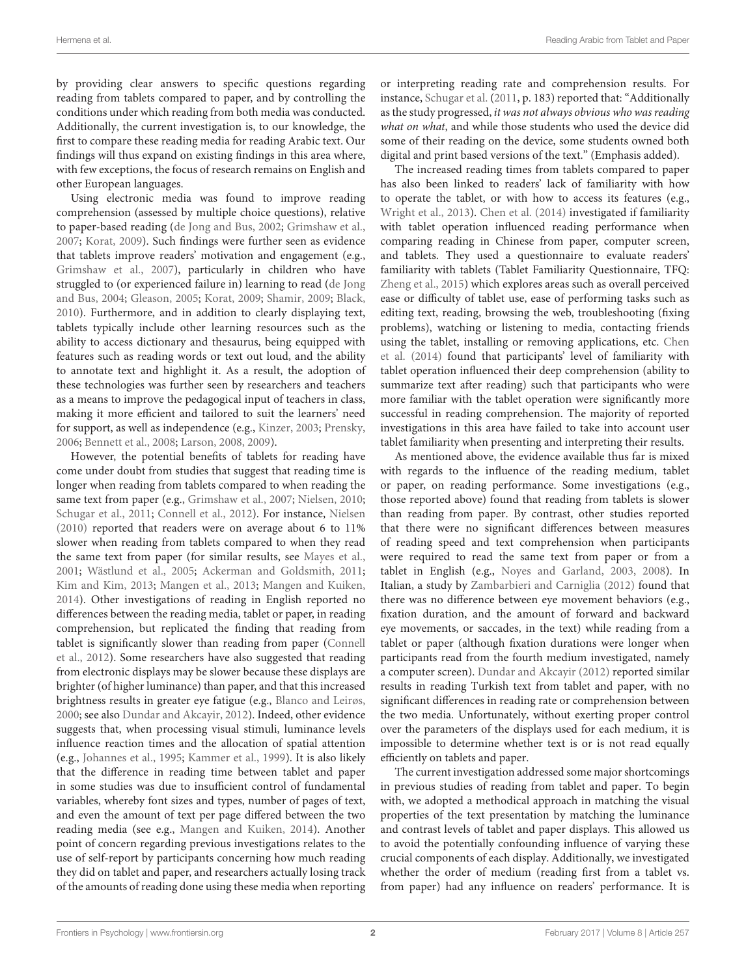by providing clear answers to specific questions regarding reading from tablets compared to paper, and by controlling the conditions under which reading from both media was conducted. Additionally, the current investigation is, to our knowledge, the first to compare these reading media for reading Arabic text. Our findings will thus expand on existing findings in this area where, with few exceptions, the focus of research remains on English and other European languages.

Using electronic media was found to improve reading comprehension (assessed by multiple choice questions), relative to paper-based reading [\(de Jong and Bus,](#page-6-4) [2002;](#page-6-4) [Grimshaw et al.,](#page-6-3) [2007;](#page-6-3) [Korat,](#page-6-5) [2009\)](#page-6-5). Such findings were further seen as evidence that tablets improve readers' motivation and engagement (e.g., [Grimshaw et al.,](#page-6-3) [2007\)](#page-6-3), particularly in children who have struggled to (or experienced failure in) learning to read [\(de Jong](#page-6-6) [and Bus,](#page-6-6) [2004;](#page-6-6) [Gleason,](#page-6-7) [2005;](#page-6-7) [Korat,](#page-6-5) [2009;](#page-6-5) [Shamir,](#page-6-8) [2009;](#page-6-8) [Black,](#page-6-9) [2010\)](#page-6-9). Furthermore, and in addition to clearly displaying text, tablets typically include other learning resources such as the ability to access dictionary and thesaurus, being equipped with features such as reading words or text out loud, and the ability to annotate text and highlight it. As a result, the adoption of these technologies was further seen by researchers and teachers as a means to improve the pedagogical input of teachers in class, making it more efficient and tailored to suit the learners' need for support, as well as independence (e.g., [Kinzer,](#page-6-10) [2003;](#page-6-10) [Prensky,](#page-6-11) [2006;](#page-6-11) [Bennett et al.,](#page-6-12) [2008;](#page-6-12) [Larson,](#page-6-13) [2008,](#page-6-13) [2009\)](#page-6-14).

However, the potential benefits of tablets for reading have come under doubt from studies that suggest that reading time is longer when reading from tablets compared to when reading the same text from paper (e.g., [Grimshaw et al.,](#page-6-3) [2007;](#page-6-3) [Nielsen,](#page-6-15) [2010;](#page-6-15) [Schugar et al.,](#page-6-16) [2011;](#page-6-16) [Connell et al.,](#page-6-0) [2012\)](#page-6-0). For instance, [Nielsen](#page-6-15) [\(2010\)](#page-6-15) reported that readers were on average about 6 to 11% slower when reading from tablets compared to when they read the same text from paper (for similar results, see [Mayes et al.,](#page-6-17) [2001;](#page-6-17) [Wästlund et al.,](#page-7-0) [2005;](#page-7-0) [Ackerman and Goldsmith,](#page-6-18) [2011;](#page-6-18) [Kim and Kim,](#page-6-19) [2013;](#page-6-19) [Mangen et al.,](#page-6-20) [2013;](#page-6-20) [Mangen and Kuiken,](#page-6-21) [2014\)](#page-6-21). Other investigations of reading in English reported no differences between the reading media, tablet or paper, in reading comprehension, but replicated the finding that reading from tablet is significantly slower than reading from paper [\(Connell](#page-6-0) [et al.,](#page-6-0) [2012\)](#page-6-0). Some researchers have also suggested that reading from electronic displays may be slower because these displays are brighter (of higher luminance) than paper, and that this increased brightness results in greater eye fatigue (e.g., [Blanco and Leirøs,](#page-6-22) [2000;](#page-6-22) see also [Dundar and Akcayir,](#page-6-23) [2012\)](#page-6-23). Indeed, other evidence suggests that, when processing visual stimuli, luminance levels influence reaction times and the allocation of spatial attention (e.g., [Johannes et al.,](#page-6-24) [1995;](#page-6-24) [Kammer et al.,](#page-6-25) [1999\)](#page-6-25). It is also likely that the difference in reading time between tablet and paper in some studies was due to insufficient control of fundamental variables, whereby font sizes and types, number of pages of text, and even the amount of text per page differed between the two reading media (see e.g., [Mangen and Kuiken,](#page-6-21) [2014\)](#page-6-21). Another point of concern regarding previous investigations relates to the use of self-report by participants concerning how much reading they did on tablet and paper, and researchers actually losing track of the amounts of reading done using these media when reporting

or interpreting reading rate and comprehension results. For instance, [Schugar et al.](#page-6-16) [\(2011,](#page-6-16) p. 183) reported that: "Additionally as the study progressed, it was not always obvious who was reading what on what, and while those students who used the device did some of their reading on the device, some students owned both digital and print based versions of the text." (Emphasis added).

The increased reading times from tablets compared to paper has also been linked to readers' lack of familiarity with how to operate the tablet, or with how to access its features (e.g., [Wright et al.,](#page-7-1) [2013\)](#page-7-1). [Chen et al.](#page-6-26) [\(2014\)](#page-6-26) investigated if familiarity with tablet operation influenced reading performance when comparing reading in Chinese from paper, computer screen, and tablets. They used a questionnaire to evaluate readers' familiarity with tablets (Tablet Familiarity Questionnaire, TFQ: [Zheng et al.,](#page-7-2) [2015\)](#page-7-2) which explores areas such as overall perceived ease or difficulty of tablet use, ease of performing tasks such as editing text, reading, browsing the web, troubleshooting (fixing problems), watching or listening to media, contacting friends using the tablet, installing or removing applications, etc. [Chen](#page-6-26) [et al.](#page-6-26) [\(2014\)](#page-6-26) found that participants' level of familiarity with tablet operation influenced their deep comprehension (ability to summarize text after reading) such that participants who were more familiar with the tablet operation were significantly more successful in reading comprehension. The majority of reported investigations in this area have failed to take into account user tablet familiarity when presenting and interpreting their results.

As mentioned above, the evidence available thus far is mixed with regards to the influence of the reading medium, tablet or paper, on reading performance. Some investigations (e.g., those reported above) found that reading from tablets is slower than reading from paper. By contrast, other studies reported that there were no significant differences between measures of reading speed and text comprehension when participants were required to read the same text from paper or from a tablet in English (e.g., [Noyes and Garland,](#page-6-27) [2003,](#page-6-27) [2008\)](#page-6-28). In Italian, a study by [Zambarbieri and Carniglia](#page-7-3) [\(2012\)](#page-7-3) found that there was no difference between eye movement behaviors (e.g., fixation duration, and the amount of forward and backward eye movements, or saccades, in the text) while reading from a tablet or paper (although fixation durations were longer when participants read from the fourth medium investigated, namely a computer screen). [Dundar and Akcayir](#page-6-23) [\(2012\)](#page-6-23) reported similar results in reading Turkish text from tablet and paper, with no significant differences in reading rate or comprehension between the two media. Unfortunately, without exerting proper control over the parameters of the displays used for each medium, it is impossible to determine whether text is or is not read equally efficiently on tablets and paper.

The current investigation addressed some major shortcomings in previous studies of reading from tablet and paper. To begin with, we adopted a methodical approach in matching the visual properties of the text presentation by matching the luminance and contrast levels of tablet and paper displays. This allowed us to avoid the potentially confounding influence of varying these crucial components of each display. Additionally, we investigated whether the order of medium (reading first from a tablet vs. from paper) had any influence on readers' performance. It is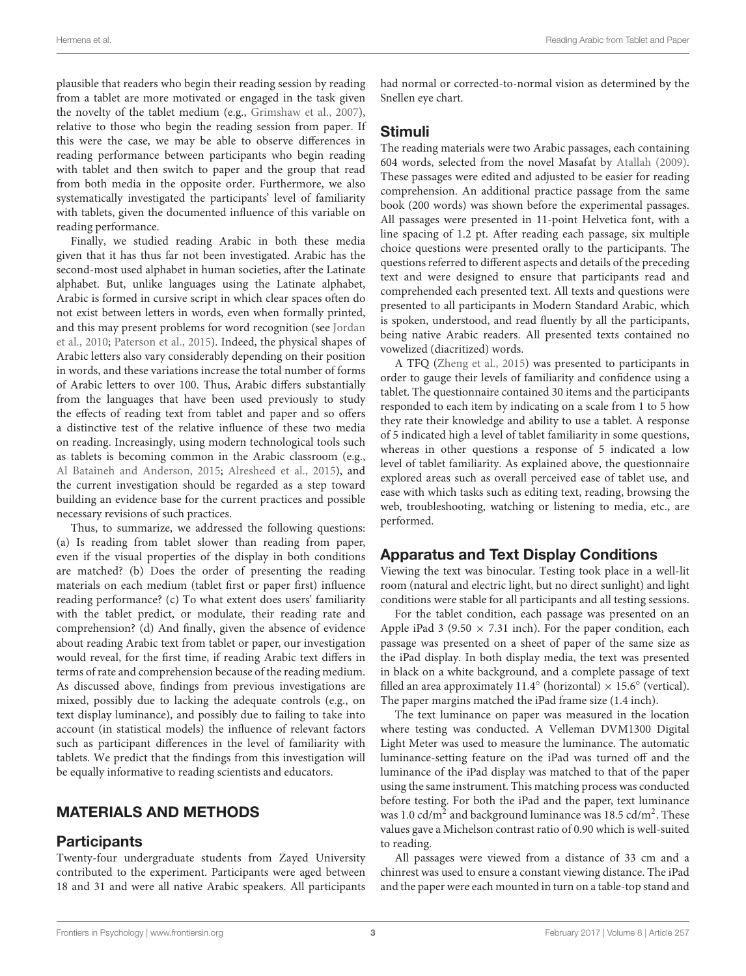plausible that readers who begin their reading session by reading from a tablet are more motivated or engaged in the task given the novelty of the tablet medium (e.g., [Grimshaw et al.,](#page-6-3) [2007\)](#page-6-3), relative to those who begin the reading session from paper. If this were the case, we may be able to observe differences in reading performance between participants who begin reading with tablet and then switch to paper and the group that read from both media in the opposite order. Furthermore, we also systematically investigated the participants' level of familiarity with tablets, given the documented influence of this variable on reading performance.

Finally, we studied reading Arabic in both these media given that it has thus far not been investigated. Arabic has the second-most used alphabet in human societies, after the Latinate alphabet. But, unlike languages using the Latinate alphabet, Arabic is formed in cursive script in which clear spaces often do not exist between letters in words, even when formally printed, and this may present problems for word recognition (see [Jordan](#page-6-29) [et al.,](#page-6-29) [2010;](#page-6-29) [Paterson et al.,](#page-6-30) [2015\)](#page-6-30). Indeed, the physical shapes of Arabic letters also vary considerably depending on their position in words, and these variations increase the total number of forms of Arabic letters to over 100. Thus, Arabic differs substantially from the languages that have been used previously to study the effects of reading text from tablet and paper and so offers a distinctive test of the relative influence of these two media on reading. Increasingly, using modern technological tools such as tablets is becoming common in the Arabic classroom (e.g., [Al Bataineh and Anderson,](#page-6-31) [2015;](#page-6-31) [Alresheed et al.,](#page-6-32) [2015\)](#page-6-32), and the current investigation should be regarded as a step toward building an evidence base for the current practices and possible necessary revisions of such practices.

Thus, to summarize, we addressed the following questions: (a) Is reading from tablet slower than reading from paper, even if the visual properties of the display in both conditions are matched? (b) Does the order of presenting the reading materials on each medium (tablet first or paper first) influence reading performance? (c) To what extent does users' familiarity with the tablet predict, or modulate, their reading rate and comprehension? (d) And finally, given the absence of evidence about reading Arabic text from tablet or paper, our investigation would reveal, for the first time, if reading Arabic text differs in terms of rate and comprehension because of the reading medium. As discussed above, findings from previous investigations are mixed, possibly due to lacking the adequate controls (e.g., on text display luminance), and possibly due to failing to take into account (in statistical models) the influence of relevant factors such as participant differences in the level of familiarity with tablets. We predict that the findings from this investigation will be equally informative to reading scientists and educators.

## MATERIALS AND METHODS

## **Participants**

Twenty-four undergraduate students from Zayed University contributed to the experiment. Participants were aged between 18 and 31 and were all native Arabic speakers. All participants had normal or corrected-to-normal vision as determined by the Snellen eye chart.

#### Stimuli

The reading materials were two Arabic passages, each containing 604 words, selected from the novel Masafat by [Atallah](#page-6-33) [\(2009\)](#page-6-33). These passages were edited and adjusted to be easier for reading comprehension. An additional practice passage from the same book (200 words) was shown before the experimental passages. All passages were presented in 11-point Helvetica font, with a line spacing of 1.2 pt. After reading each passage, six multiple choice questions were presented orally to the participants. The questions referred to different aspects and details of the preceding text and were designed to ensure that participants read and comprehended each presented text. All texts and questions were presented to all participants in Modern Standard Arabic, which is spoken, understood, and read fluently by all the participants, being native Arabic readers. All presented texts contained no vowelized (diacritized) words.

A TFQ [\(Zheng et al.,](#page-7-2) [2015\)](#page-7-2) was presented to participants in order to gauge their levels of familiarity and confidence using a tablet. The questionnaire contained 30 items and the participants responded to each item by indicating on a scale from 1 to 5 how they rate their knowledge and ability to use a tablet. A response of 5 indicated high a level of tablet familiarity in some questions, whereas in other questions a response of 5 indicated a low level of tablet familiarity. As explained above, the questionnaire explored areas such as overall perceived ease of tablet use, and ease with which tasks such as editing text, reading, browsing the web, troubleshooting, watching or listening to media, etc., are performed.

## Apparatus and Text Display Conditions

Viewing the text was binocular. Testing took place in a well-lit room (natural and electric light, but no direct sunlight) and light conditions were stable for all participants and all testing sessions.

For the tablet condition, each passage was presented on an Apple iPad 3 (9.50  $\times$  7.31 inch). For the paper condition, each passage was presented on a sheet of paper of the same size as the iPad display. In both display media, the text was presented in black on a white background, and a complete passage of text filled an area approximately 11.4 $^{\circ}$  (horizontal)  $\times$  15.6 $^{\circ}$  (vertical). The paper margins matched the iPad frame size (1.4 inch).

The text luminance on paper was measured in the location where testing was conducted. A Velleman DVM1300 Digital Light Meter was used to measure the luminance. The automatic luminance-setting feature on the iPad was turned off and the luminance of the iPad display was matched to that of the paper using the same instrument. This matching process was conducted before testing. For both the iPad and the paper, text luminance was 1.0  $\text{cd/m}^2$  and background luminance was 18.5  $\text{cd/m}^2$ . These values gave a Michelson contrast ratio of 0.90 which is well-suited to reading.

All passages were viewed from a distance of 33 cm and a chinrest was used to ensure a constant viewing distance. The iPad and the paper were each mounted in turn on a table-top stand and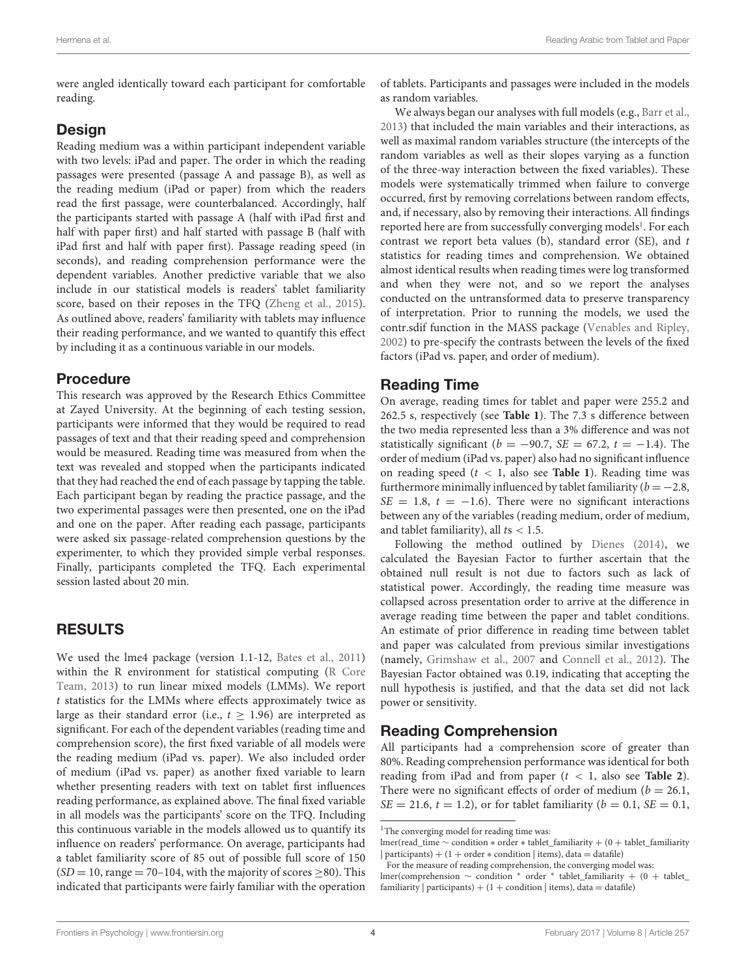were angled identically toward each participant for comfortable reading.

## **Design**

Reading medium was a within participant independent variable with two levels: iPad and paper. The order in which the reading passages were presented (passage A and passage B), as well as the reading medium (iPad or paper) from which the readers read the first passage, were counterbalanced. Accordingly, half the participants started with passage A (half with iPad first and half with paper first) and half started with passage B (half with iPad first and half with paper first). Passage reading speed (in seconds), and reading comprehension performance were the dependent variables. Another predictive variable that we also include in our statistical models is readers' tablet familiarity score, based on their reposes in the TFQ [\(Zheng et al.,](#page-7-2) [2015\)](#page-7-2). As outlined above, readers' familiarity with tablets may influence their reading performance, and we wanted to quantify this effect by including it as a continuous variable in our models.

## Procedure

This research was approved by the Research Ethics Committee at Zayed University. At the beginning of each testing session, participants were informed that they would be required to read passages of text and that their reading speed and comprehension would be measured. Reading time was measured from when the text was revealed and stopped when the participants indicated that they had reached the end of each passage by tapping the table. Each participant began by reading the practice passage, and the two experimental passages were then presented, one on the iPad and one on the paper. After reading each passage, participants were asked six passage-related comprehension questions by the experimenter, to which they provided simple verbal responses. Finally, participants completed the TFQ. Each experimental session lasted about 20 min.

## RESULTS

We used the lme4 package (version 1.1-12, [Bates et al.,](#page-6-34) [2011\)](#page-6-34) within the R environment for statistical computing [\(R Core](#page-6-35) [Team,](#page-6-35) [2013\)](#page-6-35) to run linear mixed models (LMMs). We report t statistics for the LMMs where effects approximately twice as large as their standard error (i.e.,  $t > 1.96$ ) are interpreted as significant. For each of the dependent variables (reading time and comprehension score), the first fixed variable of all models were the reading medium (iPad vs. paper). We also included order of medium (iPad vs. paper) as another fixed variable to learn whether presenting readers with text on tablet first influences reading performance, as explained above. The final fixed variable in all models was the participants' score on the TFQ. Including this continuous variable in the models allowed us to quantify its influence on readers' performance. On average, participants had a tablet familiarity score of 85 out of possible full score of 150  $(SD = 10$ , range = 70–104, with the majority of scores  $\geq 80$ ). This indicated that participants were fairly familiar with the operation

of tablets. Participants and passages were included in the models as random variables.

We always began our analyses with full models (e.g., [Barr et al.,](#page-6-36) [2013\)](#page-6-36) that included the main variables and their interactions, as well as maximal random variables structure (the intercepts of the random variables as well as their slopes varying as a function of the three-way interaction between the fixed variables). These models were systematically trimmed when failure to converge occurred, first by removing correlations between random effects, and, if necessary, also by removing their interactions. All findings reported here are from successfully converging models<sup>[1](#page-4-0)</sup>. For each contrast we report beta values (b), standard error  $(SE)$ , and t statistics for reading times and comprehension. We obtained almost identical results when reading times were log transformed and when they were not, and so we report the analyses conducted on the untransformed data to preserve transparency of interpretation. Prior to running the models, we used the contr.sdif function in the MASS package [\(Venables and Ripley,](#page-6-37) [2002\)](#page-6-37) to pre-specify the contrasts between the levels of the fixed factors (iPad vs. paper, and order of medium).

## Reading Time

On average, reading times for tablet and paper were 255.2 and 262.5 s, respectively (see **[Table 1](#page-5-0)**). The 7.3 s difference between the two media represented less than a 3% difference and was not statistically significant ( $b = -90.7$ ,  $SE = 67.2$ ,  $t = -1.4$ ). The order of medium (iPad vs. paper) also had no significant influence on reading speed (t < 1, also see **[Table 1](#page-5-0)**). Reading time was furthermore minimally influenced by tablet familiarity ( $b = -2.8$ ,  $SE = 1.8$ ,  $t = -1.6$ ). There were no significant interactions between any of the variables (reading medium, order of medium, and tablet familiarity), all  $ts < 1.5$ .

Following the method outlined by [Dienes](#page-6-38) [\(2014\)](#page-6-38), we calculated the Bayesian Factor to further ascertain that the obtained null result is not due to factors such as lack of statistical power. Accordingly, the reading time measure was collapsed across presentation order to arrive at the difference in average reading time between the paper and tablet conditions. An estimate of prior difference in reading time between tablet and paper was calculated from previous similar investigations (namely, [Grimshaw et al.,](#page-6-3) [2007](#page-6-3) and [Connell et al.,](#page-6-0) [2012\)](#page-6-0). The Bayesian Factor obtained was 0.19, indicating that accepting the null hypothesis is justified, and that the data set did not lack power or sensitivity.

## Reading Comprehension

All participants had a comprehension score of greater than 80%. Reading comprehension performance was identical for both reading from iPad and from paper  $(t < 1$ , also see **[Table 2](#page-5-1)**). There were no significant effects of order of medium ( $b = 26.1$ ,  $SE = 21.6, t = 1.2$ , or for tablet familiarity ( $b = 0.1, SE = 0.1$ ,

<span id="page-4-0"></span><sup>&</sup>lt;sup>1</sup>The converging model for reading time was:

lmer(read\_time ∼ condition ∗ order ∗ tablet\_familiarity + (0 + tablet\_familiarity | participants) + (1 + order  $*$  condition | items), data = datafile)

For the measure of reading comprehension, the converging model was: lmer(comprehension ∼ condition <sup>∗</sup> order <sup>∗</sup> tablet\_familiarity + (0 + tablet\_ familiarity | participants) +  $(1 +$  condition | items), data = datafile)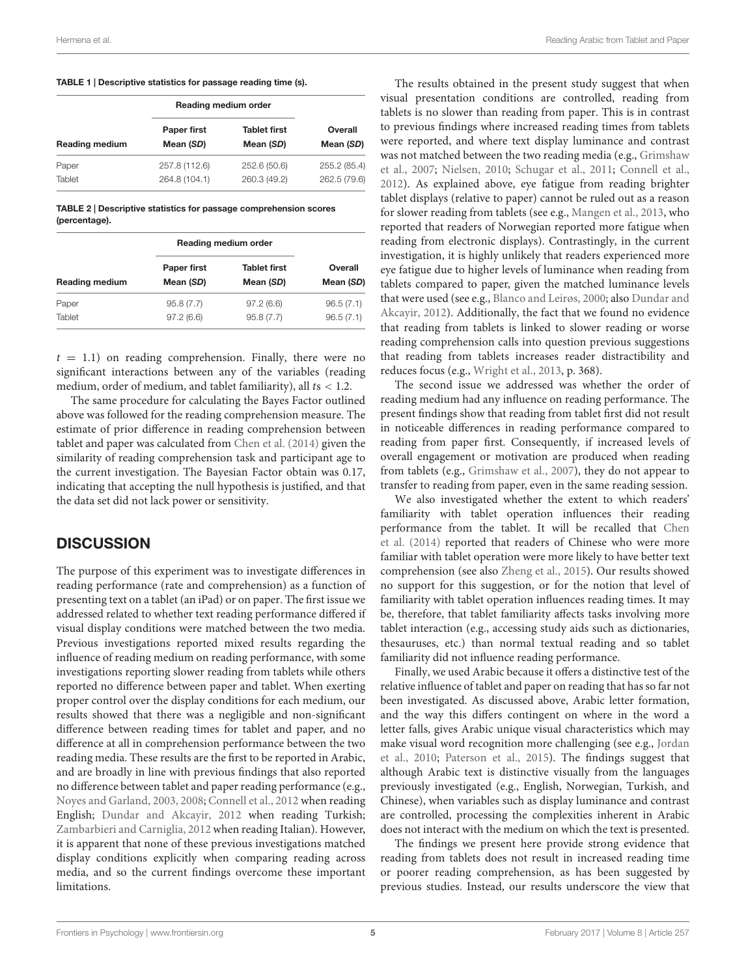<span id="page-5-0"></span>

|  |  | TABLE 1   Descriptive statistics for passage reading time (s). |  |
|--|--|----------------------------------------------------------------|--|
|--|--|----------------------------------------------------------------|--|

|                       | Reading medium order |                     |              |
|-----------------------|----------------------|---------------------|--------------|
| <b>Reading medium</b> | <b>Paper first</b>   | <b>Tablet first</b> | Overall      |
|                       | Mean (SD)            | Mean (SD)           | Mean (SD)    |
| Paper                 | 257.8 (112.6)        | 252.6 (50.6)        | 255.2 (85.4) |
| Tablet                | 264.8 (104.1)        | 260.3 (49.2)        | 262.5 (79.6) |

<span id="page-5-1"></span>TABLE 2 | Descriptive statistics for passage comprehension scores (percentage).

|                       | Reading medium order     |                                  |                      |
|-----------------------|--------------------------|----------------------------------|----------------------|
| <b>Reading medium</b> | Paper first<br>Mean (SD) | <b>Tablet first</b><br>Mean (SD) | Overall<br>Mean (SD) |
| Paper                 | 95.8(7.7)                | 97.2(6.6)                        | 96.5(7.1)            |
| Tablet                | 97.2(6.6)                | 95.8(7.7)                        | 96.5(7.1)            |

 $t = 1.1$ ) on reading comprehension. Finally, there were no significant interactions between any of the variables (reading medium, order of medium, and tablet familiarity), all  $ts < 1.2$ .

The same procedure for calculating the Bayes Factor outlined above was followed for the reading comprehension measure. The estimate of prior difference in reading comprehension between tablet and paper was calculated from [Chen et al.](#page-6-26) [\(2014\)](#page-6-26) given the similarity of reading comprehension task and participant age to the current investigation. The Bayesian Factor obtain was 0.17, indicating that accepting the null hypothesis is justified, and that the data set did not lack power or sensitivity.

## **DISCUSSION**

The purpose of this experiment was to investigate differences in reading performance (rate and comprehension) as a function of presenting text on a tablet (an iPad) or on paper. The first issue we addressed related to whether text reading performance differed if visual display conditions were matched between the two media. Previous investigations reported mixed results regarding the influence of reading medium on reading performance, with some investigations reporting slower reading from tablets while others reported no difference between paper and tablet. When exerting proper control over the display conditions for each medium, our results showed that there was a negligible and non-significant difference between reading times for tablet and paper, and no difference at all in comprehension performance between the two reading media. These results are the first to be reported in Arabic, and are broadly in line with previous findings that also reported no difference between tablet and paper reading performance (e.g., [Noyes and Garland,](#page-6-27) [2003,](#page-6-27) [2008;](#page-6-28) [Connell et al.,](#page-6-0) [2012](#page-6-0) when reading English; [Dundar and Akcayir,](#page-6-23) [2012](#page-6-23) when reading Turkish; [Zambarbieri and Carniglia,](#page-7-3) [2012](#page-7-3) when reading Italian). However, it is apparent that none of these previous investigations matched display conditions explicitly when comparing reading across media, and so the current findings overcome these important limitations.

The results obtained in the present study suggest that when visual presentation conditions are controlled, reading from tablets is no slower than reading from paper. This is in contrast to previous findings where increased reading times from tablets were reported, and where text display luminance and contrast was not matched between the two reading media (e.g., [Grimshaw](#page-6-3) [et al.,](#page-6-3) [2007;](#page-6-3) [Nielsen,](#page-6-15) [2010;](#page-6-15) [Schugar et al.,](#page-6-16) [2011;](#page-6-16) [Connell et al.,](#page-6-0) [2012\)](#page-6-0). As explained above, eye fatigue from reading brighter tablet displays (relative to paper) cannot be ruled out as a reason for slower reading from tablets (see e.g., [Mangen et al.,](#page-6-20) [2013,](#page-6-20) who reported that readers of Norwegian reported more fatigue when reading from electronic displays). Contrastingly, in the current investigation, it is highly unlikely that readers experienced more eye fatigue due to higher levels of luminance when reading from tablets compared to paper, given the matched luminance levels that were used (see e.g., [Blanco and Leirøs,](#page-6-22) [2000;](#page-6-22) also [Dundar and](#page-6-23) [Akcayir,](#page-6-23) [2012\)](#page-6-23). Additionally, the fact that we found no evidence that reading from tablets is linked to slower reading or worse reading comprehension calls into question previous suggestions that reading from tablets increases reader distractibility and reduces focus (e.g., [Wright et al.,](#page-7-1) [2013,](#page-7-1) p. 368).

The second issue we addressed was whether the order of reading medium had any influence on reading performance. The present findings show that reading from tablet first did not result in noticeable differences in reading performance compared to reading from paper first. Consequently, if increased levels of overall engagement or motivation are produced when reading from tablets (e.g., [Grimshaw et al.,](#page-6-3) [2007\)](#page-6-3), they do not appear to transfer to reading from paper, even in the same reading session.

We also investigated whether the extent to which readers' familiarity with tablet operation influences their reading performance from the tablet. It will be recalled that [Chen](#page-6-26) [et al.](#page-6-26) [\(2014\)](#page-6-26) reported that readers of Chinese who were more familiar with tablet operation were more likely to have better text comprehension (see also [Zheng et al.,](#page-7-2) [2015\)](#page-7-2). Our results showed no support for this suggestion, or for the notion that level of familiarity with tablet operation influences reading times. It may be, therefore, that tablet familiarity affects tasks involving more tablet interaction (e.g., accessing study aids such as dictionaries, thesauruses, etc.) than normal textual reading and so tablet familiarity did not influence reading performance.

Finally, we used Arabic because it offers a distinctive test of the relative influence of tablet and paper on reading that has so far not been investigated. As discussed above, Arabic letter formation, and the way this differs contingent on where in the word a letter falls, gives Arabic unique visual characteristics which may make visual word recognition more challenging (see e.g., [Jordan](#page-6-29) [et al.,](#page-6-29) [2010;](#page-6-29) [Paterson et al.,](#page-6-30) [2015\)](#page-6-30). The findings suggest that although Arabic text is distinctive visually from the languages previously investigated (e.g., English, Norwegian, Turkish, and Chinese), when variables such as display luminance and contrast are controlled, processing the complexities inherent in Arabic does not interact with the medium on which the text is presented.

The findings we present here provide strong evidence that reading from tablets does not result in increased reading time or poorer reading comprehension, as has been suggested by previous studies. Instead, our results underscore the view that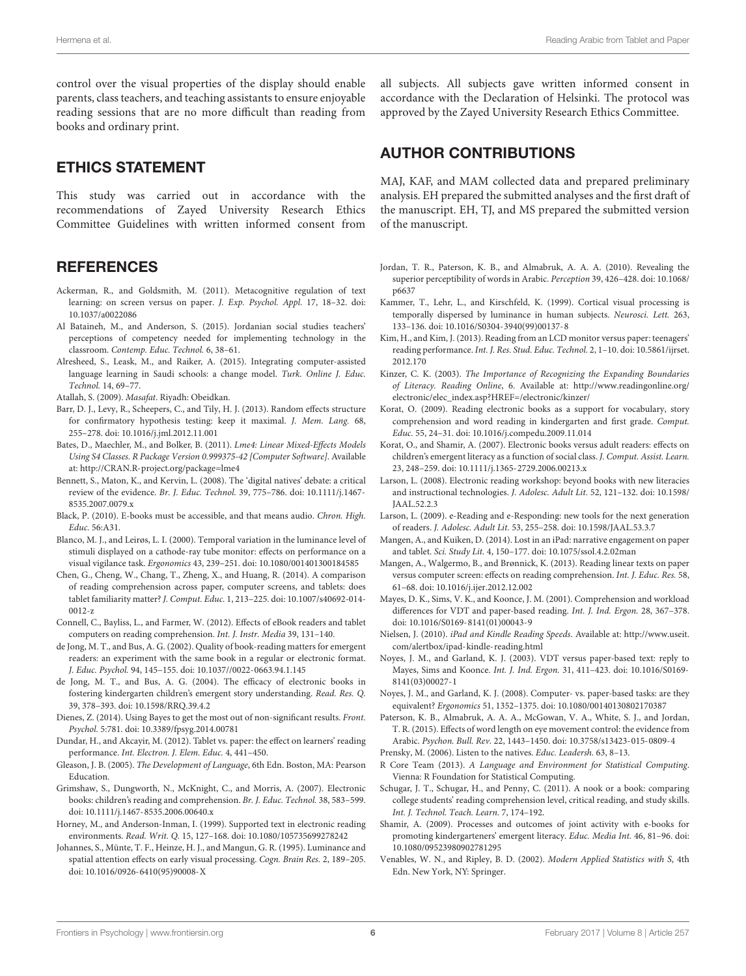control over the visual properties of the display should enable parents, class teachers, and teaching assistants to ensure enjoyable reading sessions that are no more difficult than reading from books and ordinary print.

## ETHICS STATEMENT

This study was carried out in accordance with the recommendations of Zayed University Research Ethics Committee Guidelines with written informed consent from

#### **REFERENCES**

- <span id="page-6-18"></span>Ackerman, R., and Goldsmith, M. (2011). Metacognitive regulation of text learning: on screen versus on paper. J. Exp. Psychol. Appl. 17, 18–32. [doi:](https://doi.org/10.1037/a0022086) [10.1037/a0022086](https://doi.org/10.1037/a0022086)
- <span id="page-6-31"></span>Al Bataineh, M., and Anderson, S. (2015). Jordanian social studies teachers' perceptions of competency needed for implementing technology in the classroom. Contemp. Educ. Technol. 6, 38–61.
- <span id="page-6-32"></span>Alresheed, S., Leask, M., and Raiker, A. (2015). Integrating computer-assisted language learning in Saudi schools: a change model. Turk. Online J. Educ. Technol. 14, 69–77.
- <span id="page-6-33"></span>Atallah, S. (2009). Masafat. Riyadh: Obeidkan.
- <span id="page-6-36"></span>Barr, D. J., Levy, R., Scheepers, C., and Tily, H. J. (2013). Random effects structure for confirmatory hypothesis testing: keep it maximal. J. Mem. Lang. 68, 255–278. [doi: 10.1016/j.jml.2012.11.001](https://doi.org/10.1016/j.jml.2012.11.001)
- <span id="page-6-34"></span>Bates, D., Maechler, M., and Bolker, B. (2011). Lme4: Linear Mixed-Effects Models Using S4 Classes. R Package Version 0.999375-42 [Computer Software]. Available at: <http://CRAN.R-project.org/package=lme4>
- <span id="page-6-12"></span>Bennett, S., Maton, K., and Kervin, L. (2008). The 'digital natives' debate: a critical review of the evidence. Br. J. Educ. Technol. 39, 775–786. [doi: 10.1111/j.1467-](https://doi.org/10.1111/j.1467-8535.2007.0079.x) [8535.2007.0079.x](https://doi.org/10.1111/j.1467-8535.2007.0079.x)
- <span id="page-6-9"></span>Black, P. (2010). E-books must be accessible, and that means audio. Chron. High. Educ. 56:A31.
- <span id="page-6-22"></span>Blanco, M. J., and Leirøs, L. I. (2000). Temporal variation in the luminance level of stimuli displayed on a cathode-ray tube monitor: effects on performance on a visual vigilance task. Ergonomics 43, 239–251. [doi: 10.1080/001401300184585](https://doi.org/10.1080/001401300184585)
- <span id="page-6-26"></span>Chen, G., Cheng, W., Chang, T., Zheng, X., and Huang, R. (2014). A comparison of reading comprehension across paper, computer screens, and tablets: does tablet familiarity matter? J. Comput. Educ. 1, 213-225. [doi: 10.1007/s40692-014-](https://doi.org/10.1007/s40692-014-0012-z) [0012-z](https://doi.org/10.1007/s40692-014-0012-z)
- <span id="page-6-0"></span>Connell, C., Bayliss, L., and Farmer, W. (2012). Effects of eBook readers and tablet computers on reading comprehension. Int. J. Instr. Media 39, 131–140.
- <span id="page-6-4"></span>de Jong, M. T., and Bus, A. G. (2002). Quality of book-reading matters for emergent readers: an experiment with the same book in a regular or electronic format. J. Educ. Psychol. 94, 145–155. [doi: 10.1037//0022-0663.94.1.145](https://doi.org/10.1037//0022-0663.94.1.145)
- <span id="page-6-6"></span>de Jong, M. T., and Bus, A. G. (2004). The efficacy of electronic books in fostering kindergarten children's emergent story understanding. Read. Res. Q. 39, 378–393. [doi: 10.1598/RRQ.39.4.2](https://doi.org/10.1598/RRQ.39.4.2)
- <span id="page-6-38"></span>Dienes, Z. (2014). Using Bayes to get the most out of non-significant results. Front. Psychol. 5:781. [doi: 10.3389/fpsyg.2014.00781](https://doi.org/10.3389/fpsyg.2014.00781)
- <span id="page-6-23"></span>Dundar, H., and Akcayir, M. (2012). Tablet vs. paper: the effect on learners' reading performance. Int. Electron. J. Elem. Educ. 4, 441–450.
- <span id="page-6-7"></span>Gleason, J. B. (2005). The Development of Language, 6th Edn. Boston, MA: Pearson Education.
- <span id="page-6-3"></span>Grimshaw, S., Dungworth, N., McKnight, C., and Morris, A. (2007). Electronic books: children's reading and comprehension. Br. J. Educ. Technol. 38, 583–599. [doi: 10.1111/j.1467-8535.2006.00640.x](https://doi.org/10.1111/j.1467-8535.2006.00640.x)
- <span id="page-6-1"></span>Horney, M., and Anderson-Inman, I. (1999). Supported text in electronic reading environments. Read. Writ. Q. 15, 127–168. [doi: 10.1080/105735699278242](https://doi.org/10.1080/105735699278242)
- <span id="page-6-24"></span>Johannes, S., Münte, T. F., Heinze, H. J., and Mangun, G. R. (1995). Luminance and spatial attention effects on early visual processing. Cogn. Brain Res. 2, 189–205. [doi: 10.1016/0926-6410\(95\)90008-X](https://doi.org/10.1016/0926-6410(95)90008-X)

all subjects. All subjects gave written informed consent in accordance with the Declaration of Helsinki. The protocol was approved by the Zayed University Research Ethics Committee.

#### AUTHOR CONTRIBUTIONS

MAJ, KAF, and MAM collected data and prepared preliminary analysis. EH prepared the submitted analyses and the first draft of the manuscript. EH, TJ, and MS prepared the submitted version of the manuscript.

- <span id="page-6-29"></span>Jordan, T. R., Paterson, K. B., and Almabruk, A. A. A. (2010). Revealing the superior perceptibility of words in Arabic. Perception 39, 426–428. [doi: 10.1068/](https://doi.org/10.1068/p6637) [p6637](https://doi.org/10.1068/p6637)
- <span id="page-6-25"></span>Kammer, T., Lehr, L., and Kirschfeld, K. (1999). Cortical visual processing is temporally dispersed by luminance in human subjects. Neurosci. Lett. 263, 133–136. [doi: 10.1016/S0304-3940\(99\)00137-8](https://doi.org/10.1016/S0304-3940(99)00137-8)
- <span id="page-6-19"></span>Kim, H., and Kim, J. (2013). Reading from an LCD monitor versus paper: teenagers' reading performance. Int. J. Res. Stud. Educ. Technol. 2, 1–10. [doi: 10.5861/ijrset.](https://doi.org/10.5861/ijrset.2012.170) [2012.170](https://doi.org/10.5861/ijrset.2012.170)
- <span id="page-6-10"></span>Kinzer, C. K. (2003). The Importance of Recognizing the Expanding Boundaries of Literacy. Reading Online, 6. Available at: [http://www.readingonline.org/](http://www.readingonline.org/electronic/elec_index.asp?HREF=/electronic/kinzer/) [electronic/elec\\_index.asp?HREF=/electronic/kinzer/](http://www.readingonline.org/electronic/elec_index.asp?HREF=/electronic/kinzer/)
- <span id="page-6-5"></span>Korat, O. (2009). Reading electronic books as a support for vocabulary, story comprehension and word reading in kindergarten and first grade. Comput. Educ. 55, 24–31. [doi: 10.1016/j.compedu.2009.11.014](https://doi.org/10.1016/j.compedu.2009.11.014)
- <span id="page-6-2"></span>Korat, O., and Shamir, A. (2007). Electronic books versus adult readers: effects on children's emergent literacy as a function of social class. J. Comput. Assist. Learn. 23, 248–259. [doi: 10.1111/j.1365-2729.2006.00213.x](https://doi.org/10.1111/j.1365-2729.2006.00213.x)
- <span id="page-6-13"></span>Larson, L. (2008). Electronic reading workshop: beyond books with new literacies and instructional technologies. J. Adolesc. Adult Lit. 52, 121–132. [doi: 10.1598/](https://doi.org/10.1598/JAAL.52.2.3) [JAAL.52.2.3](https://doi.org/10.1598/JAAL.52.2.3)
- <span id="page-6-14"></span>Larson, L. (2009). e-Reading and e-Responding: new tools for the next generation of readers. J. Adolesc. Adult Lit. 53, 255–258. [doi: 10.1598/JAAL.53.3.7](https://doi.org/10.1598/JAAL.53.3.7)
- <span id="page-6-21"></span>Mangen, A., and Kuiken, D. (2014). Lost in an iPad: narrative engagement on paper and tablet. Sci. Study Lit. 4, 150–177. [doi: 10.1075/ssol.4.2.02man](https://doi.org/10.1075/ssol.4.2.02man)
- <span id="page-6-20"></span>Mangen, A., Walgermo, B., and Brønnick, K. (2013). Reading linear texts on paper versus computer screen: effects on reading comprehension. Int. J. Educ. Res. 58, 61–68. [doi: 10.1016/j.ijer.2012.12.002](https://doi.org/10.1016/j.ijer.2012.12.002)
- <span id="page-6-17"></span>Mayes, D. K., Sims, V. K., and Koonce, J. M. (2001). Comprehension and workload differences for VDT and paper-based reading. Int. J. Ind. Ergon. 28, 367–378. [doi: 10.1016/S0169-8141\(01\)00043-9](https://doi.org/10.1016/S0169-8141(01)00043-9)
- <span id="page-6-15"></span>Nielsen, J. (2010). iPad and Kindle Reading Speeds. Available at: [http://www.useit.](http://www.useit.com/alertbox/ipad-kindle-reading.html) [com/alertbox/ipad-kindle-reading.html](http://www.useit.com/alertbox/ipad-kindle-reading.html)
- <span id="page-6-27"></span>Noyes, J. M., and Garland, K. J. (2003). VDT versus paper-based text: reply to Mayes, Sims and Koonce. Int. J. Ind. Ergon. 31, 411–423. [doi: 10.1016/S0169-](https://doi.org/10.1016/S0169-8141(03)00027-1) [8141\(03\)00027-1](https://doi.org/10.1016/S0169-8141(03)00027-1)
- <span id="page-6-28"></span>Noyes, J. M., and Garland, K. J. (2008). Computer- vs. paper-based tasks: are they equivalent? Ergonomics 51, 1352–1375. [doi: 10.1080/00140130802170387](https://doi.org/10.1080/00140130802170387)
- <span id="page-6-30"></span>Paterson, K. B., Almabruk, A. A. A., McGowan, V. A., White, S. J., and Jordan, T. R. (2015). Effects of word length on eye movement control: the evidence from Arabic. Psychon. Bull. Rev. 22, 1443–1450. [doi: 10.3758/s13423-015-0809-4](https://doi.org/10.3758/s13423-015-0809-4)
- <span id="page-6-11"></span>Prensky, M. (2006). Listen to the natives. Educ. Leadersh. 63, 8–13.
- <span id="page-6-35"></span>R Core Team (2013). A Language and Environment for Statistical Computing. Vienna: R Foundation for Statistical Computing.
- <span id="page-6-16"></span>Schugar, J. T., Schugar, H., and Penny, C. (2011). A nook or a book: comparing college students' reading comprehension level, critical reading, and study skills. Int. J. Technol. Teach. Learn. 7, 174–192.
- <span id="page-6-8"></span>Shamir, A. (2009). Processes and outcomes of joint activity with e-books for promoting kindergarteners' emergent literacy. Educ. Media Int. 46, 81–96. [doi:](https://doi.org/10.1080/09523980902781295) [10.1080/09523980902781295](https://doi.org/10.1080/09523980902781295)
- <span id="page-6-37"></span>Venables, W. N., and Ripley, B. D. (2002). Modern Applied Statistics with S, 4th Edn. New York, NY: Springer.